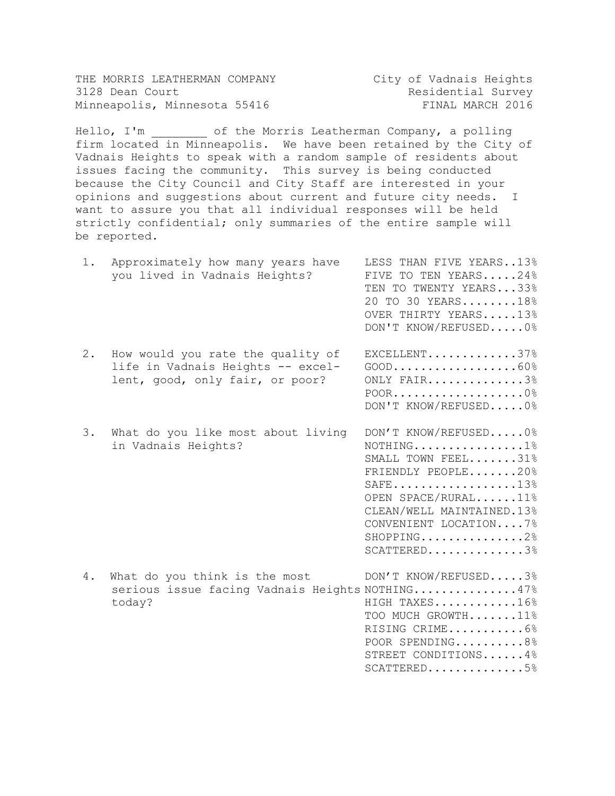THE MORRIS LEATHERMAN COMPANY City of Vadnais Heights 3128 Dean Court **Residential Survey** Minneapolis, Minnesota 55416 FINAL MARCH 2016

Hello, I'm  $\sim$  of the Morris Leatherman Company, a polling firm located in Minneapolis. We have been retained by the City of Vadnais Heights to speak with a random sample of residents about issues facing the community. This survey is being conducted because the City Council and City Staff are interested in your opinions and suggestions about current and future city needs. I want to assure you that all individual responses will be held strictly confidential; only summaries of the entire sample will be reported.

| 1. | Approximately how many years have<br>you lived in Vadnais Heights?                                        | LESS THAN FIVE YEARS13%<br>FIVE TO TEN YEARS24%<br>TEN TO TWENTY YEARS33%<br>20 TO 30 YEARS18%<br>OVER THIRTY YEARS13%<br>DON'T KNOW/REFUSED0%                                                                                                               |
|----|-----------------------------------------------------------------------------------------------------------|--------------------------------------------------------------------------------------------------------------------------------------------------------------------------------------------------------------------------------------------------------------|
| 2. | How would you rate the quality of<br>life in Vadnais Heights -- excel-<br>lent, good, only fair, or poor? | EXCELLENT37%<br>$GOOD$ 60%<br>ONLY FAIR3%<br>DON'T KNOW/REFUSED0%                                                                                                                                                                                            |
| 3. | What do you like most about living<br>in Vadnais Heights?                                                 | DON'T KNOW/REFUSED0%<br>$NOTHING$ 1%<br>SMALL TOWN FEEL31%<br>FRIENDLY PEOPLE20%<br>$S_{\text{AFE}} \ldots \ldots \ldots \ldots \ldots 138$<br>OPEN SPACE/RURAL11%<br>CLEAN/WELL MAINTAINED.13%<br>CONVENIENT LOCATION7%<br>$SHOPPING.$ 2%<br>$SCATTERED$ 3% |
| 4. | What do you think is the most<br>serious issue facing Vadnais Heights NOTHING47%<br>today?                | DON'T KNOW/REFUSED3%<br>HIGH TAXES16%<br>TOO MUCH GROWTH11%<br>RISING CRIME6%<br>POOR SPENDING8%<br>STREET CONDITIONS 4%<br>$SCATTERED.$ 5%                                                                                                                  |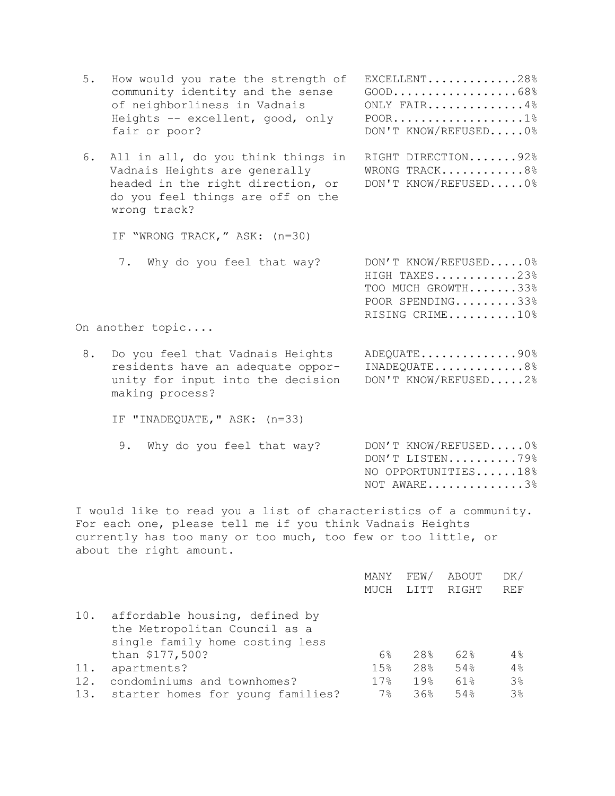| 5.  | How would you rate the strength of<br>community identity and the sense<br>of neighborliness in Vadnais<br>Heights -- excellent, good, only<br>fair or poor?                                                                 | EXCELLENT28%<br>$GOOD$ 68%<br>ONLY FAIR4%<br>DON'T KNOW/REFUSED0%                                  |
|-----|-----------------------------------------------------------------------------------------------------------------------------------------------------------------------------------------------------------------------------|----------------------------------------------------------------------------------------------------|
| 6.  | All in all, do you think things in<br>Vadnais Heights are generally<br>headed in the right direction, or<br>do you feel things are off on the<br>wrong track?                                                               | RIGHT DIRECTION92%<br>WRONG TRACK8%<br>DON'T KNOW/REFUSED0%                                        |
|     | IF "WRONG TRACK," ASK: (n=30)                                                                                                                                                                                               |                                                                                                    |
|     | 7. Why do you feel that way?                                                                                                                                                                                                | DON'T KNOW/REFUSED0%<br>HIGH TAXES23%<br>TOO MUCH GROWTH33%<br>POOR SPENDING33%<br>RISING CRIME10% |
|     | On another topic                                                                                                                                                                                                            |                                                                                                    |
| 8.  | Do you feel that Vadnais Heights<br>residents have an adequate oppor-<br>unity for input into the decision<br>making process?                                                                                               | ADEQUATE90%<br>$INADEQUATE$ 8%<br>DON'T KNOW/REFUSED2%                                             |
|     | IF "INADEQUATE, " ASK: (n=33)                                                                                                                                                                                               |                                                                                                    |
|     | Why do you feel that way?<br>9.                                                                                                                                                                                             | DON'T KNOW/REFUSED0%<br>DON'T LISTEN79%<br>NO OPPORTUNITIES18%<br>NOT AWARE3%                      |
|     | I would like to read you a list of characteristics of a community.<br>For each one, please tell me if you think Vadnais Heights<br>currently has too many or too much, too few or too little, or<br>about the right amount. |                                                                                                    |
|     |                                                                                                                                                                                                                             | FEW/<br>DK/<br>MANY<br>ABOUT<br>LITT<br><b>REF</b><br>MUCH<br>RIGHT                                |
| 10. | affordable housing, defined by<br>the Metropolitan Council as a<br>single family home costing less                                                                                                                          |                                                                                                    |
| 11. | than \$177,500?<br>apartments?                                                                                                                                                                                              | $6\%$<br>28%<br>62%<br>4%<br>28%<br>54%<br>15%<br>4%                                               |
| 12. | condominiums and townhomes?                                                                                                                                                                                                 | 3%<br>17%<br>19%<br>61%                                                                            |
| 13. | starter homes for young families?                                                                                                                                                                                           | 3%<br>36%<br>54%<br>$7\%$                                                                          |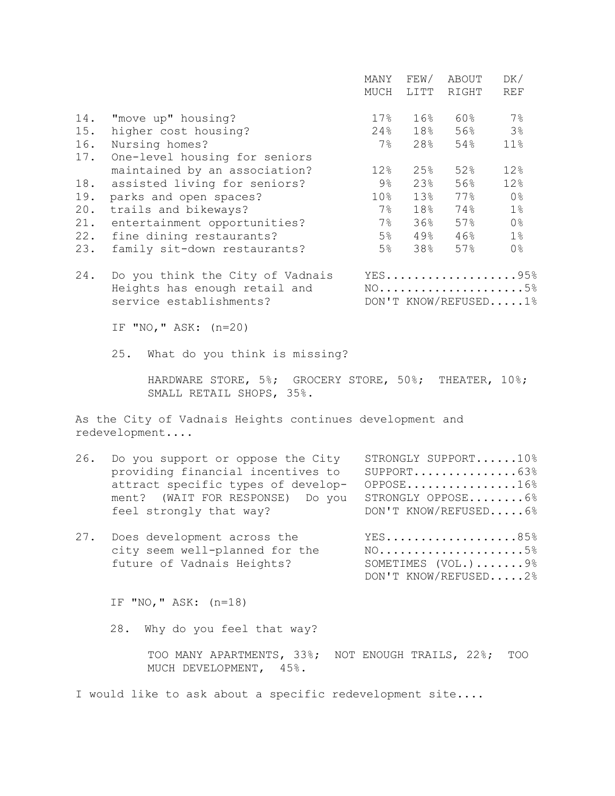|                                        |                                                                                                                                                                                                             | MANY<br>MUCH                                                           | FEW/<br>LITT                                  | ABOUT<br>RIGHT                                                                                    | DK/<br><b>REF</b>                                                                  |
|----------------------------------------|-------------------------------------------------------------------------------------------------------------------------------------------------------------------------------------------------------------|------------------------------------------------------------------------|-----------------------------------------------|---------------------------------------------------------------------------------------------------|------------------------------------------------------------------------------------|
| 14.<br>15.<br>16.<br>17.               | "move up" housing?<br>higher cost housing?<br>Nursing homes?<br>One-level housing for seniors                                                                                                               | 17%<br>24%<br>$7\%$                                                    | 16%<br>18%<br>28%                             | 60%<br>56%<br>54%                                                                                 | 7%<br>3 <sup>°</sup><br>11%                                                        |
| 18.<br>19.<br>20.<br>21.<br>22.<br>23. | maintained by an association?<br>assisted living for seniors?<br>parks and open spaces?<br>trails and bikeways?<br>entertainment opportunities?<br>fine dining restaurants?<br>family sit-down restaurants? | 12%<br>$9\%$<br>10 <sub>8</sub><br>7 <sup>°</sup><br>$7\%$<br>5%<br>5% | 25%<br>23%<br>13%<br>18%<br>36%<br>49%<br>38% | 52%<br>56%<br>77%<br>74%<br>57%<br>46%<br>57%                                                     | 12%<br>12%<br>0 <sup>°</sup><br>$1\%$<br>0 <sup>°</sup><br>$1\%$<br>0 <sup>°</sup> |
| 24.                                    | Do you think the City of Vadnais<br>Heights has enough retail and<br>service establishments?                                                                                                                |                                                                        |                                               | YES95%<br>$NO. 5%$<br>DON'T KNOW/REFUSED1%                                                        |                                                                                    |
|                                        | IF "NO, " ASK: $(n=20)$                                                                                                                                                                                     |                                                                        |                                               |                                                                                                   |                                                                                    |
|                                        | 25.<br>What do you think is missing?                                                                                                                                                                        |                                                                        |                                               |                                                                                                   |                                                                                    |
|                                        | HARDWARE STORE, 5%; GROCERY STORE, 50%;<br>SMALL RETAIL SHOPS, 35%.                                                                                                                                         |                                                                        |                                               | THEATER, 10%;                                                                                     |                                                                                    |
|                                        | As the City of Vadnais Heights continues development and<br>redevelopment                                                                                                                                   |                                                                        |                                               |                                                                                                   |                                                                                    |
| 26.                                    | Do you support or oppose the City<br>providing financial incentives to<br>attract specific types of develop-<br>ment? (WAIT FOR RESPONSE) Do you<br>feel strongly that way?                                 |                                                                        |                                               | STRONGLY SUPPORT10%<br>$SUPPORT$ 63%<br>$OPPOSE$ 16%<br>STRONGLY OPPOSE6%<br>DON'T KNOW/REFUSED6% |                                                                                    |
| 27.                                    | Does development across the<br>city seem well-planned for the<br>future of Vadnais Heights?                                                                                                                 |                                                                        |                                               | YES85%<br>$NO. 5%$<br>SOMETIMES $(VOL.)$ 9%<br>DON'T KNOW/REFUSED2%                               |                                                                                    |

IF "NO," ASK: (n=18)

28. Why do you feel that way?

TOO MANY APARTMENTS, 33%; NOT ENOUGH TRAILS, 22%; TOO MUCH DEVELOPMENT, 45%.

I would like to ask about a specific redevelopment site....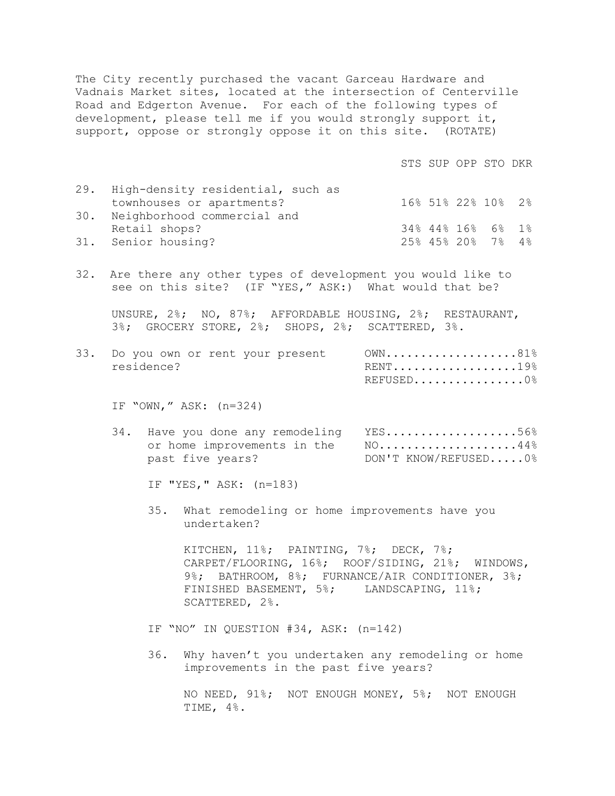The City recently purchased the vacant Garceau Hardware and Vadnais Market sites, located at the intersection of Centerville Road and Edgerton Avenue. For each of the following types of development, please tell me if you would strongly support it, support, oppose or strongly oppose it on this site. (ROTATE)

STS SUP OPP STO DKR

| 29. High-density residential, such as |  |                    |  |
|---------------------------------------|--|--------------------|--|
| townhouses or apartments?             |  | 16% 51% 22% 10% 2% |  |
| 30. Neighborhood commercial and       |  |                    |  |
| Retail shops?                         |  | 34% 44% 16% 6% 1%  |  |
| 31. Senior housing?                   |  | 25% 45% 20% 7% 4%  |  |

32. Are there any other types of development you would like to see on this site? (IF "YES," ASK:) What would that be?

UNSURE, 2%; NO, 87%; AFFORDABLE HOUSING, 2%; RESTAURANT, 3%; GROCERY STORE, 2%; SHOPS, 2%; SCATTERED, 3%.

|            |  | 33. Do you own or rent your present OWN81% |  |
|------------|--|--------------------------------------------|--|
| residence? |  | RENT19%                                    |  |
|            |  | REFUSED0%                                  |  |

IF "OWN," ASK: (n=324)

34. Have you done any remodeling YES...................56% or home improvements in the NO..................44% past five years?  $DON'T KNOW/REFUSED...0%$ 

IF "YES," ASK: (n=183)

35. What remodeling or home improvements have you undertaken?

KITCHEN, 11%; PAINTING, 7%; DECK, 7%; CARPET/FLOORING, 16%; ROOF/SIDING, 21%; WINDOWS, 9%; BATHROOM, 8%; FURNANCE/AIR CONDITIONER, 3%; FINISHED BASEMENT, 5%; LANDSCAPING, 11%; SCATTERED, 2%.

IF "NO" IN QUESTION #34, ASK: (n=142)

36. Why haven't you undertaken any remodeling or home improvements in the past five years?

NO NEED, 91%; NOT ENOUGH MONEY, 5%; NOT ENOUGH TIME, 4%.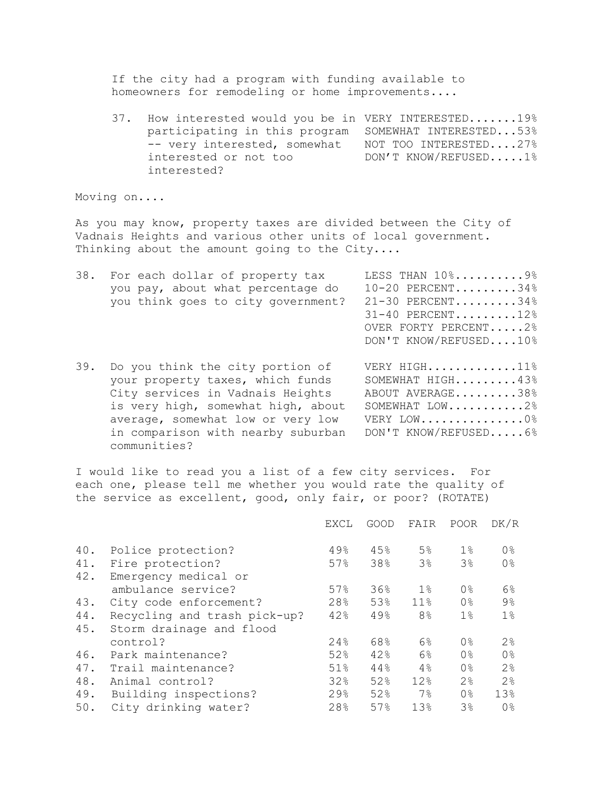If the city had a program with funding available to homeowners for remodeling or home improvements....

37. How interested would you be in VERY INTERESTED.......19% participating in this program SOMEWHAT INTERESTED...53% -- very interested, somewhat NOT TOO INTERESTED....27% interested or not too DON'T KNOW/REFUSED.....1% interested?

Moving on....

As you may know, property taxes are divided between the City of Vadnais Heights and various other units of local government. Thinking about the amount going to the City....

| 38. | For each dollar of property tax<br>you pay, about what percentage do<br>you think goes to city government?                                                                                                                                | LESS THAN 10%9%<br>10-20 PERCENT34%<br>21-30 PERCENT34%<br>$31-40$ PERCENT12%<br>OVER FORTY PERCENT2%<br>DON'T KNOW/REFUSED10% |
|-----|-------------------------------------------------------------------------------------------------------------------------------------------------------------------------------------------------------------------------------------------|--------------------------------------------------------------------------------------------------------------------------------|
| 39. | Do you think the city portion of<br>your property taxes, which funds<br>City services in Vadnais Heights<br>is very high, somewhat high, about<br>average, somewhat low or very low<br>in comparison with nearby suburban<br>communities? | VERY HIGH11%<br>SOMEWHAT HIGH43%<br>ABOUT AVERAGE38%<br>SOMEWHAT LOW2%<br>VERY LOW0%<br>DON'T KNOW/REFUSED6%                   |

I would like to read you a list of a few city services. For each one, please tell me whether you would rate the quality of the service as excellent, good, only fair, or poor? (ROTATE)

|     |                              | EXCL   | GOOD | FAIR            | <b>POOR</b>    | DK/R           |
|-----|------------------------------|--------|------|-----------------|----------------|----------------|
| 40. | Police protection?           | 49%    | 45%  | 5%              | $1\%$          | 0 <sup>°</sup> |
| 41. | Fire protection?             | 57%    | 38%  | 3%              | 3%             | 0 <sup>°</sup> |
| 42. | Emergency medical or         |        |      |                 |                |                |
|     | ambulance service?           | 57%    | 36%  | 1%              | 0 <sup>°</sup> | $6\%$          |
| 43. | City code enforcement?       | 28%    | 53%  | 11 <sup>°</sup> | 0 <sup>°</sup> | $9\%$          |
| 44. | Recycling and trash pick-up? | 42%    | 49%  | 8 <sup>°</sup>  | $1\%$          | $1\%$          |
| 45. | Storm drainage and flood     |        |      |                 |                |                |
|     | control?                     | 24%    | 68%  | 6%              | 0 <sup>°</sup> | 2%             |
| 46. | Park maintenance?            | 52%    | 42%  | 6%              | 0 <sup>°</sup> | 0 <sup>°</sup> |
| 47. | Trail maintenance?           | 51%    | 44%  | 4%              | 0 <sup>°</sup> | 2 <sup>°</sup> |
| 48. | Animal control?              | 32%    | 52%  | 12.8            | 2.8            | 2.8            |
| 49. | Building inspections?        | $29$ % | 52%  | $7\%$           | 0 <sup>°</sup> | 13%            |
| 50. | City drinking water?         | 28%    | 57%  | 13%             | 3 <sup>°</sup> | 0 <sup>°</sup> |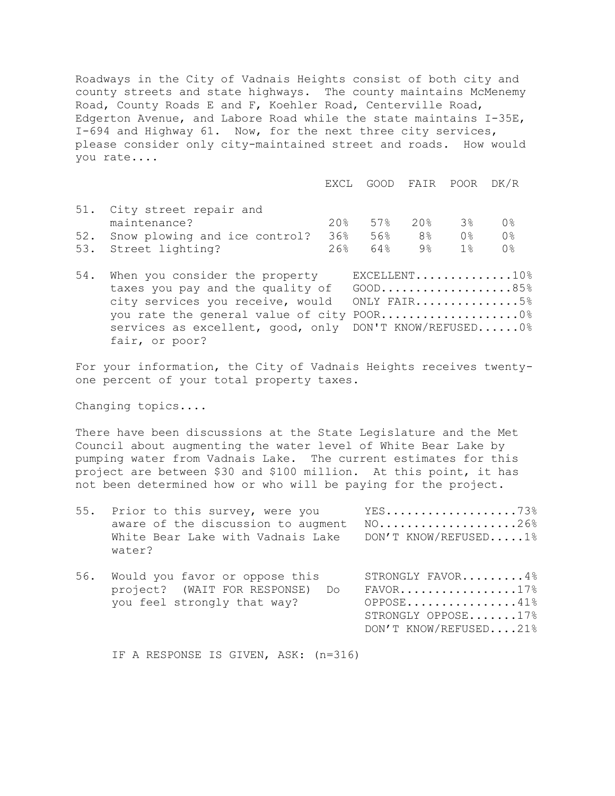Roadways in the City of Vadnais Heights consist of both city and county streets and state highways. The county maintains McMenemy Road, County Roads E and F, Koehler Road, Centerville Road, Edgerton Avenue, and Labore Road while the state maintains I-35E, I-694 and Highway 61. Now, for the next three city services, please consider only city-maintained street and roads. How would you rate....

|                                   |       |              |         | EXCL GOOD FAIR POOR DK/R |     |
|-----------------------------------|-------|--------------|---------|--------------------------|-----|
| 51. City street repair and        |       |              |         |                          |     |
| maintenance?                      | 20%   |              | 57% 20% | $3\%$                    | ∩ % |
| 52. Snow plowing and ice control? | 36% a | 56%          | 8%      | ∩ %                      | ∩%  |
| 53. Street lighting?              | 26%   | <u> ମେ</u> କ | 9% ୍    | 1%                       | ∩%  |

54. When you consider the property EXCELLENT..............10% taxes you pay and the quality of GOOD.....................85% city services you receive, would ONLY FAIR...............5% you rate the general value of city POOR.......................0% services as excellent, good, only DON'T KNOW/REFUSED...... 0% fair, or poor?

For your information, the City of Vadnais Heights receives twentyone percent of your total property taxes.

Changing topics....

There have been discussions at the State Legislature and the Met Council about augmenting the water level of White Bear Lake by pumping water from Vadnais Lake. The current estimates for this project are between \$30 and \$100 million. At this point, it has not been determined how or who will be paying for the project.

|     | 55. Prior to this survey, were you<br>aware of the discussion to augment<br>White Bear Lake with Vadnais Lake<br>water? | $YES$ 73%<br>$NO. 26%$<br>DON'T KNOW/REFUSED1%                                                 |
|-----|-------------------------------------------------------------------------------------------------------------------------|------------------------------------------------------------------------------------------------|
| 56. | Would you favor or oppose this<br>project? (WAIT FOR RESPONSE)<br>Do<br>you feel strongly that way?                     | STRONGLY FAVOR4%<br>$FAVOR$ 17%<br>$OPPOSE$ 41%<br>STRONGLY OPPOSE17%<br>DON'T KNOW/REFUSED21% |

IF A RESPONSE IS GIVEN, ASK: (n=316)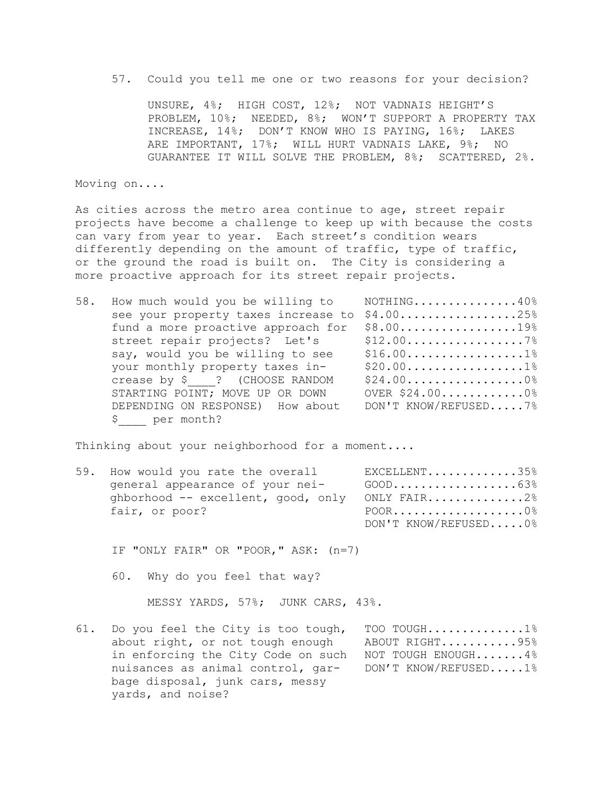57. Could you tell me one or two reasons for your decision?

UNSURE, 4%; HIGH COST, 12%; NOT VADNAIS HEIGHT'S PROBLEM, 10%; NEEDED, 8%; WON'T SUPPORT A PROPERTY TAX INCREASE, 14%; DON'T KNOW WHO IS PAYING, 16%; LAKES ARE IMPORTANT, 17%; WILL HURT VADNAIS LAKE, 9%; NO GUARANTEE IT WILL SOLVE THE PROBLEM, 8%; SCATTERED, 2%.

Moving on....

As cities across the metro area continue to age, street repair projects have become a challenge to keep up with because the costs can vary from year to year. Each street's condition wears differently depending on the amount of traffic, type of traffic, or the ground the road is built on. The City is considering a more proactive approach for its street repair projects.

| 58. | How much would you be willing to    | NOTHING40%           |
|-----|-------------------------------------|----------------------|
|     | see your property taxes increase to | $$4.00$ 25%          |
|     | fund a more proactive approach for  | $$8.00$ 19%          |
|     | street repair projects? Let's       | $$12.00$ 7%          |
|     | say, would you be willing to see    | \$16.0018            |
|     | your monthly property taxes in-     | \$20.0018            |
|     | crease by \$ ? (CHOOSE RANDOM       | $$24.00$ 0%          |
|     | STARTING POINT; MOVE UP OR DOWN     | OVER \$24.000%       |
|     | DEPENDING ON RESPONSE) How about    | DON'T KNOW/REFUSED7% |
|     | \$ per month?                       |                      |

Thinking about your neighborhood for a moment....

| 59. How would you rate the overall             | $EXCELLENT$ 35%      |
|------------------------------------------------|----------------------|
| qeneral appearance of your nei-                | GOOD63%              |
| qhborhood -- excellent, good, only ONLY FAIR2% |                      |
| fair, or poor?                                 | $POOR$ 0%            |
|                                                | DON'T KNOW/REFUSED0% |

IF "ONLY FAIR" OR "POOR," ASK: (n=7)

60. Why do you feel that way?

MESSY YARDS, 57%; JUNK CARS, 43%.

61. Do you feel the City is too tough, TOO TOUGH..............1% about right, or not tough enough ABOUT RIGHT...........95% in enforcing the City Code on such NOT TOUGH ENOUGH....... 4% nuisances as animal control, gar- DON'T KNOW/REFUSED.....1% bage disposal, junk cars, messy yards, and noise?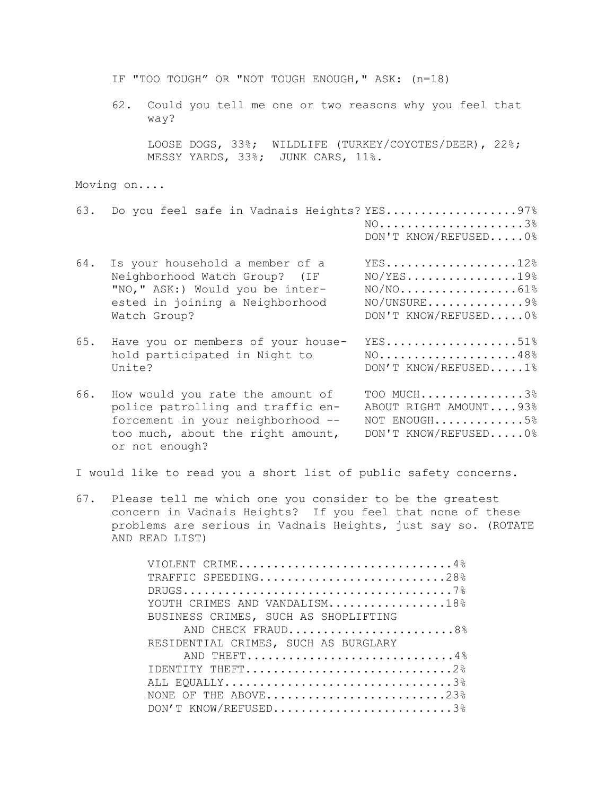IF "TOO TOUGH" OR "NOT TOUGH ENOUGH," ASK: (n=18) 62. Could you tell me one or two reasons why you feel that way? LOOSE DOGS, 33%; WILDLIFE (TURKEY/COYOTES/DEER), 22%; MESSY YARDS, 33%; JUNK CARS, 11%. Moving on.... 63. Do you feel safe in Vadnais Heights? YES...................97% NO.....................3% DON'T KNOW/REFUSED.....0% 64. Is your household a member of a YES...................12% Neighborhood Watch Group? (IF NO/YES...............19% "NO," ASK:) Would you be inter- NO/NO.................61% ested in joining a Neighborhood NO/UNSURE................9% Watch Group? DON'T KNOW/REFUSED..... 0% 65. Have you or members of your house- YES....................51% hold participated in Night to  $N0$ ...................48% Unite? DON'T KNOW/REFUSED.....1% 66. How would you rate the amount of TOO MUCH...............3% police patrolling and traffic en- ABOUT RIGHT AMOUNT....93% forcement in your neighborhood -- NOT ENOUGH.............5% too much, about the right amount, DON'T KNOW/REFUSED.....0%

- or not enough?
- I would like to read you a short list of public safety concerns.
- 67. Please tell me which one you consider to be the greatest concern in Vadnais Heights? If you feel that none of these problems are serious in Vadnais Heights, just say so. (ROTATE AND READ LIST)

| VIOLENT CRIME4%                      |
|--------------------------------------|
| TRAFFIC SPEEDING28%                  |
|                                      |
| YOUTH CRIMES AND VANDALISM18%        |
| BUSINESS CRIMES, SUCH AS SHOPLIFTING |
| AND CHECK FRAUD8%                    |
| RESIDENTIAL CRIMES, SUCH AS BURGLARY |
| AND THEFT4%                          |
| IDENTITY THEFT2%                     |
| ALL EQUALLY3%                        |
| NONE OF THE ABOVE23%                 |
| DON'T KNOW/REFUSED3%                 |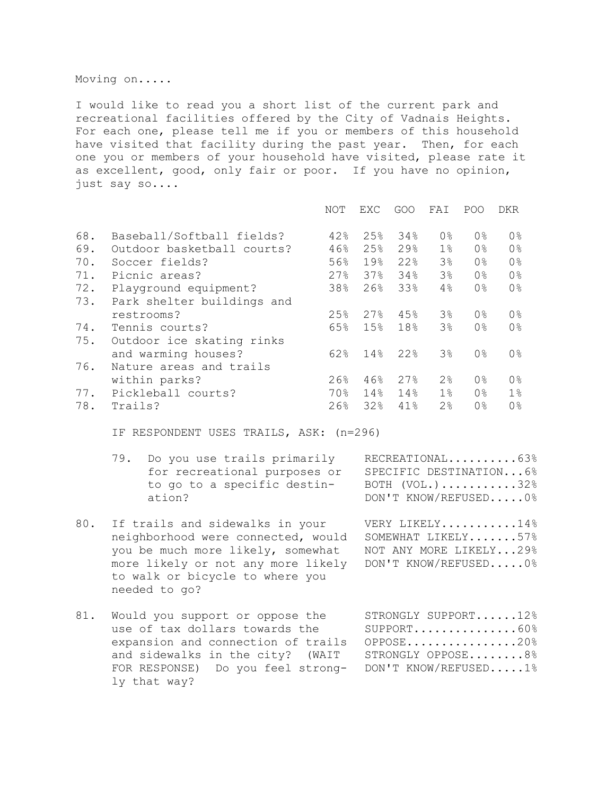Moving on.....

I would like to read you a short list of the current park and recreational facilities offered by the City of Vadnais Heights. For each one, please tell me if you or members of this household have visited that facility during the past year. Then, for each one you or members of your household have visited, please rate it as excellent, good, only fair or poor. If you have no opinion, just say so....

|     |                            | NOT | EXC    | GOO  | FAI            | POO            | DKR            |
|-----|----------------------------|-----|--------|------|----------------|----------------|----------------|
| 68. | Baseball/Softball fields?  | 42% | 25%    | 34%  | 0%             | 0 <sup>°</sup> | 0 <sup>°</sup> |
|     |                            |     |        | 29.8 |                |                |                |
| 69. | Outdoor basketball courts? | 46% | 25%    |      | $1\%$          | 0 <sup>°</sup> | 0 <sup>°</sup> |
| 70. | Soccer fields?             | 56% | 19%    | 22%  | 3%             | 0 <sup>°</sup> | 0 <sup>°</sup> |
| 71. | Picnic areas?              | 27% | 37%    | 34%  | $3\,$          | 0%             | 0 <sup>°</sup> |
| 72. | Playground equipment?      | 38% | 26%    | 33%  | 4%             | 0 <sup>°</sup> | 0 <sup>°</sup> |
| 73. | Park shelter buildings and |     |        |      |                |                |                |
|     | restrooms?                 | 25% | 27%    | 45%  | $3\%$          | 0 <sup>°</sup> | 0 <sup>°</sup> |
| 74. | Tennis courts?             | 65% | 15%    | 18%  | 3 <sup>°</sup> | 0 <sup>°</sup> | 0 <sup>°</sup> |
| 75. | Outdoor ice skating rinks  |     |        |      |                |                |                |
|     | and warming houses?        | 62% | 14%    | 22%  | 3 <sup>°</sup> | 0 <sup>°</sup> | 0 <sup>°</sup> |
| 76. | Nature areas and trails    |     |        |      |                |                |                |
|     | within parks?              | 26% | 46%    | 27%  | $2\frac{6}{6}$ | 0 <sup>°</sup> | 0 <sup>°</sup> |
| 77. | Pickleball courts?         | 70% | $14\%$ | 14%  | 1%             | 0 <sup>°</sup> | $1\%$          |
| 78. | Trails?                    | 26% | 32%    | 41%  | 2 <sup>°</sup> | 0 <sup>°</sup> | 0 <sup>°</sup> |

IF RESPONDENT USES TRAILS, ASK: (n=296)

| 79. Do you use trails primarily | RECREATIONAL63%        |
|---------------------------------|------------------------|
| for recreational purposes or    | SPECIFIC DESTINATION6% |
| to go to a specific destin-     | BOTH $(VOL.)$ 32%      |
| ation?                          | DON'T KNOW/REFUSED0%   |
|                                 |                        |

- 80. If trails and sidewalks in your VERY LIKELY...........14% neighborhood were connected, would SOMEWHAT LIKELY.......57% you be much more likely, somewhat NOT ANY MORE LIKELY...29% more likely or not any more likely DON'T KNOW/REFUSED.....0% to walk or bicycle to where you needed to go?
- 81. Would you support or oppose the STRONGLY SUPPORT......12% use of tax dollars towards the SUPPORT................60% expansion and connection of trails OPPOSE................20% and sidewalks in the city? (WAIT STRONGLY OPPOSE........8% FOR RESPONSE) Do you feel strong- DON'T KNOW/REFUSED.....1% ly that way?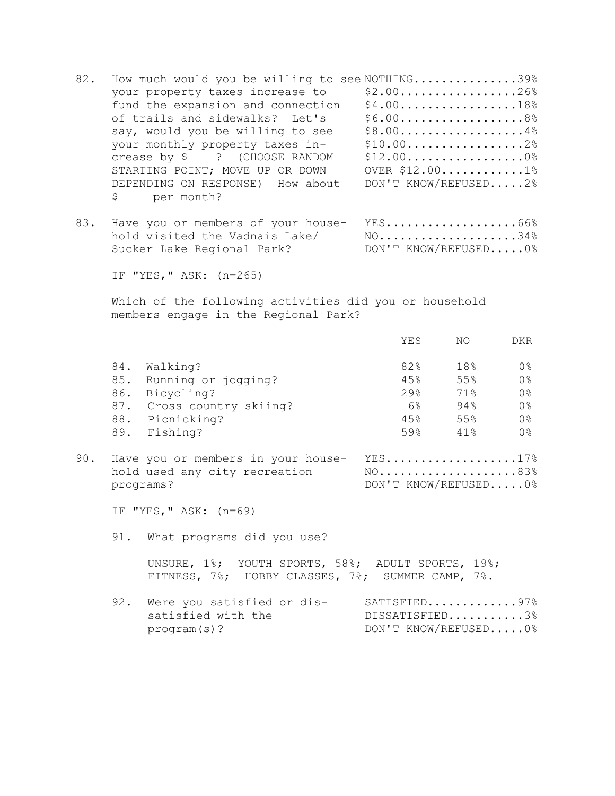- 82. How much would you be willing to see NOTHING...............39% your property taxes increase to  $$2.00$ .................26% fund the expansion and connection \$4.00.................18% of trails and sidewalks? Let's  $$6.00..................8$ say, would you be willing to see \$8.00..................4% your monthly property taxes in-<br>\$10.00...................2% crease by \$\_\_\_\_? (CHOOSE RANDOM \$12.00.................0% STARTING POINT; MOVE UP OR DOWN OVER \$12.00............1% DEPENDING ON RESPONSE) How about DON'T KNOW/REFUSED.....2% \$\_\_\_\_ per month?
- 83. Have you or members of your house- YES.....................66% hold visited the Vadnais Lake/ NO...................34% Sucker Lake Regional Park? DON'T KNOW/REFUSED..... 0%

IF "YES," ASK: (n=265)

Which of the following activities did you or household members engage in the Regional Park?

|                   |                                               | YES                             | NΟ                | DKR                                                |
|-------------------|-----------------------------------------------|---------------------------------|-------------------|----------------------------------------------------|
| 84.<br>85.<br>86. | Walking?<br>Running or jogging?<br>Bicycling? | 82%<br>45%<br>$29$ <sup>2</sup> | 18%<br>55%<br>71% | 0 <sup>°</sup><br>0 <sup>°</sup><br>0 <sup>°</sup> |
| 87.               | Cross country skiing?                         | 6%                              | 94%               | 0 <sup>°</sup>                                     |
| 88.               | Picnicking?                                   | 45%                             | 55%               | 0 <sup>°</sup>                                     |
| 89.               | Fishing?                                      | 59%                             | 41%               | 0%                                                 |
|                   |                                               |                                 |                   |                                                    |

90. Have you or members in your house- YES...................17% hold used any city recreation MO.....................83% programs? DON'T KNOW/REFUSED.....0%

IF "YES," ASK: (n=69)

91. What programs did you use?

UNSURE, 1%; YOUTH SPORTS, 58%; ADULT SPORTS, 19%; FITNESS, 7%; HOBBY CLASSES, 7%; SUMMER CAMP, 7%.

92. Were you satisfied or dis-<br>
SATISFIED..............97% satisfied with the DISSATISFIED...........3% program(s)? DON'T KNOW/REFUSED.....0%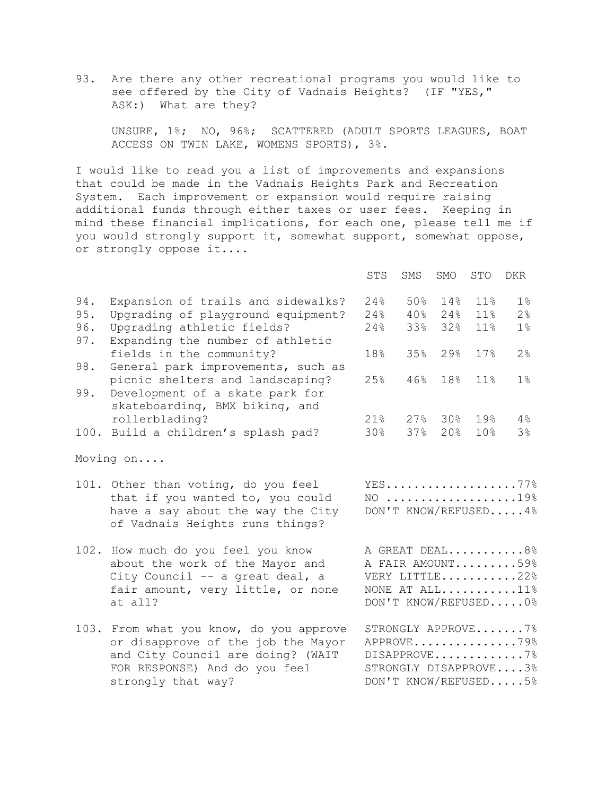93. Are there any other recreational programs you would like to see offered by the City of Vadnais Heights? (IF "YES," ASK:) What are they?

UNSURE, 1%; NO, 96%; SCATTERED (ADULT SPORTS LEAGUES, BOAT ACCESS ON TWIN LAKE, WOMENS SPORTS), 3%.

I would like to read you a list of improvements and expansions that could be made in the Vadnais Heights Park and Recreation System. Each improvement or expansion would require raising additional funds through either taxes or user fees. Keeping in mind these financial implications, for each one, please tell me if you would strongly support it, somewhat support, somewhat oppose, or strongly oppose it....

|            |                                                                                                                                                                           | STS | SMS         | SMO     | STO             | DKR                                                                                               |
|------------|---------------------------------------------------------------------------------------------------------------------------------------------------------------------------|-----|-------------|---------|-----------------|---------------------------------------------------------------------------------------------------|
| 94.        | Expansion of trails and sidewalks?                                                                                                                                        | 24% | 50%         | 14%     | 11 <sup>°</sup> | 1%                                                                                                |
| 95.        | Upgrading of playground equipment?                                                                                                                                        | 24% | $40\%$      | 24%     | 11%             | 2%                                                                                                |
| 96.<br>97. | Upgrading athletic fields?<br>Expanding the number of athletic                                                                                                            | 24% | 33%         | 32%     | 11%             | $1\%$                                                                                             |
| 98.        | fields in the community?<br>General park improvements, such as                                                                                                            | 18% | 35%         | 29%     | 17%             | 2%                                                                                                |
| 99.        | picnic shelters and landscaping?<br>Development of a skate park for<br>skateboarding, BMX biking, and                                                                     | 25% | 46%         | 18%     | 11%             | 1 <sup>°</sup>                                                                                    |
|            | rollerblading?                                                                                                                                                            | 21% |             | 27% 30% | 19%             | 4%                                                                                                |
|            | 100. Build a children's splash pad?                                                                                                                                       |     | 30% 37% 20% |         | 10%             | 3%                                                                                                |
|            | Moving on                                                                                                                                                                 |     |             |         |                 |                                                                                                   |
|            | 101. Other than voting, do you feel<br>that if you wanted to, you could<br>have a say about the way the City<br>of Vadnais Heights runs things?                           |     |             |         |                 | $YES$ 77%<br>$NO$ 19%<br>DON'T KNOW/REFUSED4%                                                     |
|            | 102. How much do you feel you know<br>about the work of the Mayor and<br>City Council -- a great deal, a<br>fair amount, very little, or none<br>at all?                  |     |             |         |                 | A GREAT DEAL8%<br>A FAIR AMOUNT59%<br>VERY LITTLE22%<br>NONE AT ALL11%<br>DON'T KNOW/REFUSED0%    |
|            | 103. From what you know, do you approve<br>or disapprove of the job the Mayor<br>and City Council are doing? (WAIT<br>FOR RESPONSE) And do you feel<br>strongly that way? |     |             |         |                 | STRONGLY APPROVE7%<br>APPROVE79%<br>DISAPPROVE7%<br>STRONGLY DISAPPROVE3%<br>DON'T KNOW/REFUSED5% |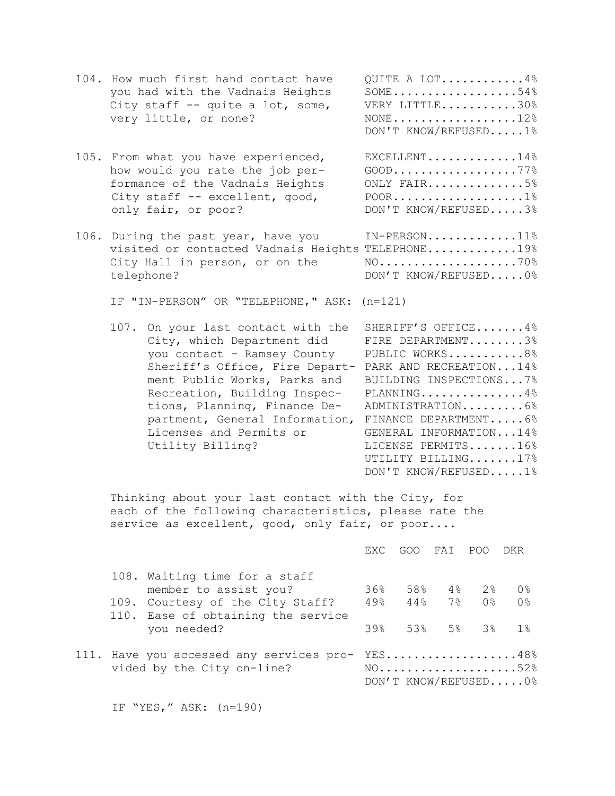- 104. How much first hand contact have QUITE A LOT............4% you had with the Vadnais Heights SOME..................54% City staff -- quite a lot, some, VERY LITTLE...........30% very little, or none? NONE....................12% DON'T KNOW/REFUSED.....1%
- 105. From what you have experienced, EXCELLENT.............14% how would you rate the job per- GOOD..................77% formance of the Vadnais Heights ONLY FAIR..............5% City staff -- excellent, good, POOR....................1% only fair, or poor? DON'T KNOW/REFUSED.....3%
- 106. During the past year, have you IN-PERSON.............11% visited or contacted Vadnais Heights TELEPHONE.............19% City Hall in person, or on the NO...........................70% telephone? DON'T KNOW/REFUSED.....0%

IF "IN-PERSON" OR "TELEPHONE," ASK: (n=121)

 107. On your last contact with the SHERIFF'S OFFICE.......4% City, which Department did FIRE DEPARTMENT........3% you contact - Ramsey County PUBLIC WORKS...........8% Sheriff's Office, Fire Depart- PARK AND RECREATION...14% ment Public Works, Parks and BUILDING INSPECTIONS...7% Recreation, Building Inspec- PLANNING..............4% tions, Planning, Finance De- ADMINISTRATION.........6% partment, General Information, FINANCE DEPARTMENT.....6% Licenses and Permits or GENERAL INFORMATION...14% Utility Billing? LICENSE PERMITS.......16% UTILITY BILLING.......17% DON'T KNOW/REFUSED.....1%

 Thinking about your last contact with the City, for each of the following characteristics, please rate the service as excellent, good, only fair, or poor....

|  |                                                                                            |     | EXC GOO FAI POO  |                    |                | DKR                                            |
|--|--------------------------------------------------------------------------------------------|-----|------------------|--------------------|----------------|------------------------------------------------|
|  | 108. Waiting time for a staff<br>member to assist you?<br>109. Courtesy of the City Staff? | 36% | $49\%$ $44\%$    | 58% 4% 2%<br>$7\%$ | 0 <sup>8</sup> | 0 <sup>8</sup><br>0 <sup>°</sup>               |
|  | 110. Ease of obtaining the service<br>you needed?                                          |     | $39\%$ 53% 5% 3% |                    |                | 1%                                             |
|  | 111. Have you accessed any services pro-<br>vided by the City on-line?                     |     |                  |                    |                | $YES$ 48%<br>$NO.$ 52%<br>DON'T KNOW/REFUSED0% |

IF "YES," ASK: (n=190)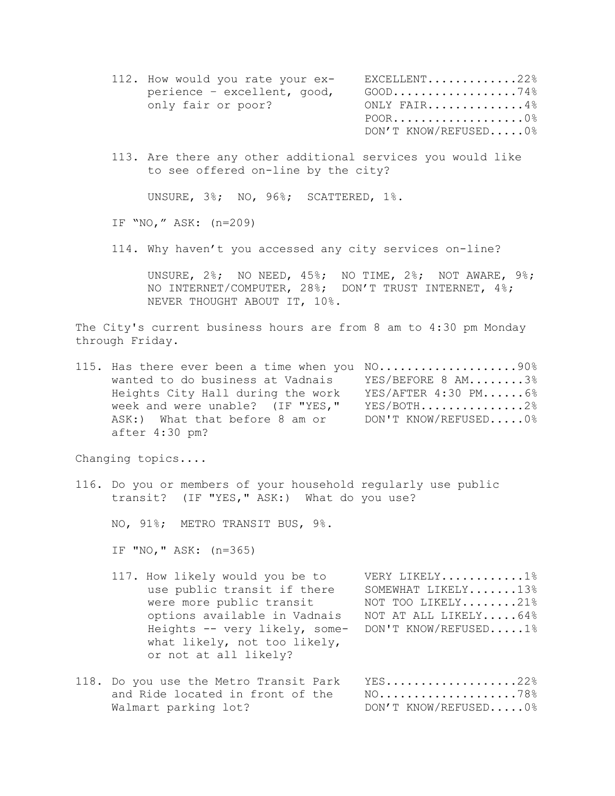| 112. How would you rate your ex- | $EXCELLENT$ 22%      |  |
|----------------------------------|----------------------|--|
| perience - excellent, good,      | GOOD74%              |  |
| only fair or poor?               | ONLY FAIR4%          |  |
|                                  | $POOR$ 0             |  |
|                                  | DON'T KNOW/REFUSED0% |  |

113. Are there any other additional services you would like to see offered on-line by the city?

UNSURE, 3%; NO, 96%; SCATTERED, 1%.

IF "NO," ASK: (n=209)

114. Why haven't you accessed any city services on-line?

UNSURE, 2%; NO NEED, 45%; NO TIME, 2%; NOT AWARE, 9%; NO INTERNET/COMPUTER, 28%; DON'T TRUST INTERNET, 4%; NEVER THOUGHT ABOUT IT, 10%.

The City's current business hours are from 8 am to 4:30 pm Monday through Friday.

115. Has there ever been a time when you NO.....................90% wanted to do business at Vadnais YES/BEFORE 8 AM........3% Heights City Hall during the work YES/AFTER 4:30 PM......6% week and were unable? (IF "YES," YES/BOTH...............2% ASK:) What that before 8 am or DON'T KNOW/REFUSED.....0% after 4:30 pm?

Changing topics....

116. Do you or members of your household regularly use public transit? (IF "YES," ASK:) What do you use?

NO, 91%; METRO TRANSIT BUS, 9%.

IF "NO," ASK: (n=365)

- 117. How likely would you be to VERY LIKELY............1% use public transit if there SOMEWHAT LIKELY.......13% were more public transit NOT TOO LIKELY........21% options available in Vadnais NOT AT ALL LIKELY.....64% Heights -- very likely, some- DON'T KNOW/REFUSED.....1% what likely, not too likely, or not at all likely?
- 118. Do you use the Metro Transit Park YES...................22% and Ride located in front of the NO.....................78% Walmart parking lot? DON'T KNOW/REFUSED..... 0%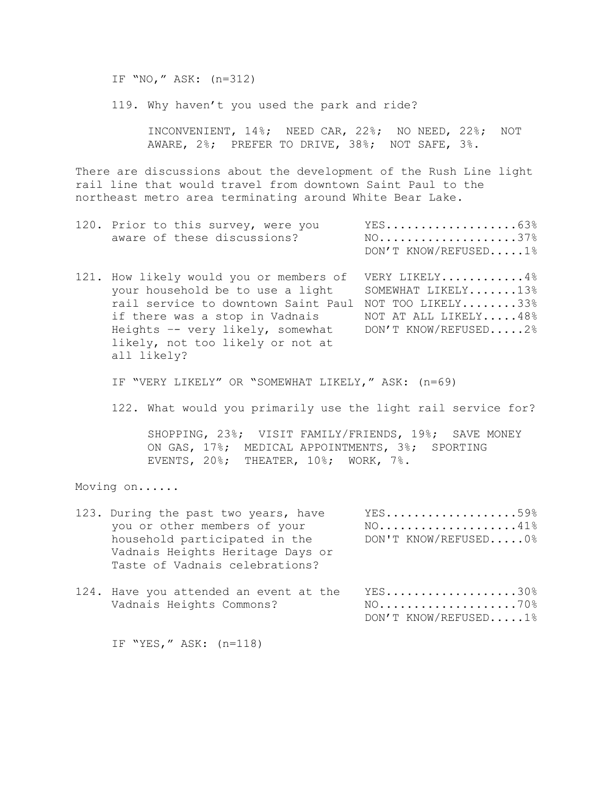IF "NO," ASK: (n=312)

119. Why haven't you used the park and ride?

INCONVENIENT, 14%; NEED CAR, 22%; NO NEED, 22%; NOT AWARE, 2%; PREFER TO DRIVE, 38%; NOT SAFE, 3%.

There are discussions about the development of the Rush Line light rail line that would travel from downtown Saint Paul to the northeast metro area terminating around White Bear Lake.

| 120. Prior to this survey, were you<br>aware of these discussions?                                                                                                 | $YES$ 63%<br>$NO.$ 37%<br>DON'T KNOW/REFUSED1%                  |
|--------------------------------------------------------------------------------------------------------------------------------------------------------------------|-----------------------------------------------------------------|
| 121. How likely would you or members of VERY LIKELY4%<br>your household be to use a light<br>rail service to downtown Saint Paul<br>if there was a stop in Vadnais | SOMEWHAT LIKELY13%<br>NOT TOO LIKELY33%<br>NOT AT ALL LIKELY48% |

Heights –- very likely, somewhat DON'T KNOW/REFUSED.....2% likely, not too likely or not at

IF "VERY LIKELY" OR "SOMEWHAT LIKELY," ASK: (n=69)

122. What would you primarily use the light rail service for?

SHOPPING, 23%; VISIT FAMILY/FRIENDS, 19%; SAVE MONEY ON GAS, 17%; MEDICAL APPOINTMENTS, 3%; SPORTING EVENTS, 20%; THEATER, 10%; WORK, 7%.

Moving on......

all likely?

| 123. During the past two years, have<br>you or other members of your<br>household participated in the<br>Vadnais Heights Heritage Days or<br>Taste of Vadnais celebrations? | YES59%<br>$NO. 41%$<br>DON'T KNOW/REFUSED0% |
|-----------------------------------------------------------------------------------------------------------------------------------------------------------------------------|---------------------------------------------|
| 124. Have you attended an event at the<br>Vadnais Heights Commons?                                                                                                          | YES30%<br>$NO. 70%$<br>DON'T KNOW/REFUSED1% |

IF "YES," ASK: (n=118)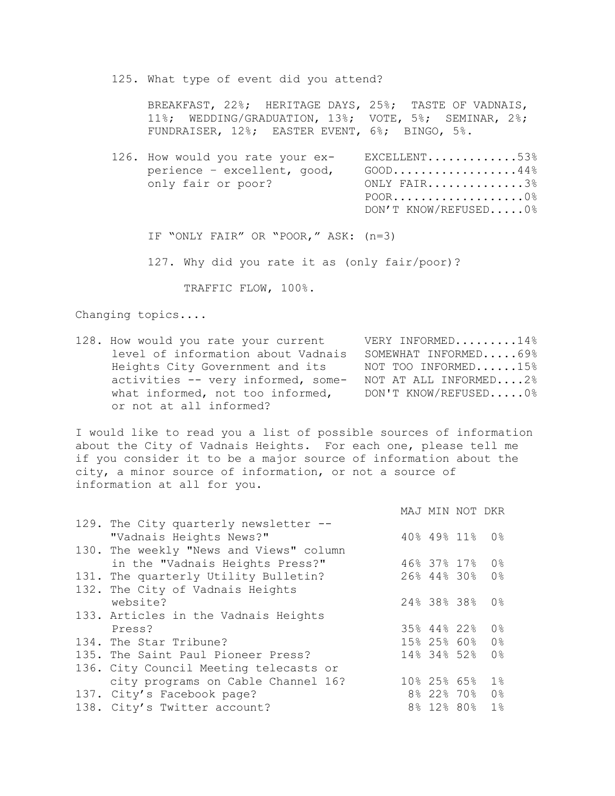125. What type of event did you attend?

BREAKFAST, 22%; HERITAGE DAYS, 25%; TASTE OF VADNAIS, 11%; WEDDING/GRADUATION, 13%; VOTE, 5%; SEMINAR, 2%; FUNDRAISER, 12%; EASTER EVENT, 6%; BINGO, 5%.

| 126. How would you rate your ex- | EXCELLENT53%         |                                                                |
|----------------------------------|----------------------|----------------------------------------------------------------|
| perience - excellent, good,      |                      |                                                                |
| only fair or poor?               | ONLY FAIR3%          |                                                                |
|                                  | $POOR$ 0             |                                                                |
|                                  | DON'T KNOW/REFUSED0% |                                                                |
|                                  |                      | $\texttt{GOOD} \dots \dots \dots \dots \dots \dots \cdot 44\%$ |

IF "ONLY FAIR" OR "POOR," ASK: (n=3)

127. Why did you rate it as (only fair/poor)?

TRAFFIC FLOW, 100%.

Changing topics....

128. How would you rate your current VERY INFORMED.........14% level of information about Vadnais SOMEWHAT INFORMED.....69% Heights City Government and its NOT TOO INFORMED......15% activities -- very informed, some- NOT AT ALL INFORMED....2% what informed, not too informed, DON'T KNOW/REFUSED.....0% or not at all informed?

I would like to read you a list of possible sources of information about the City of Vadnais Heights. For each one, please tell me if you consider it to be a major source of information about the city, a minor source of information, or not a source of information at all for you.

| 129. The City quarterly newsletter --   |  |                                                                                                                                                                     |
|-----------------------------------------|--|---------------------------------------------------------------------------------------------------------------------------------------------------------------------|
| "Vadnais Heights News?"                 |  | 0%                                                                                                                                                                  |
| 130. The weekly "News and Views" column |  |                                                                                                                                                                     |
| in the "Vadnais Heights Press?"         |  | 0 <sup>°</sup>                                                                                                                                                      |
| 131. The quarterly Utility Bulletin?    |  | 0 <sup>°</sup>                                                                                                                                                      |
| 132. The City of Vadnais Heights        |  |                                                                                                                                                                     |
| website?                                |  | 0%                                                                                                                                                                  |
| 133. Articles in the Vadnais Heights    |  |                                                                                                                                                                     |
| Press?                                  |  | 0 <sup>°</sup>                                                                                                                                                      |
| 134. The Star Tribune?                  |  | 0%                                                                                                                                                                  |
| 135. The Saint Paul Pioneer Press?      |  | 0 <sup>°</sup>                                                                                                                                                      |
| 136. City Council Meeting telecasts or  |  |                                                                                                                                                                     |
| city programs on Cable Channel 16?      |  | $1\%$                                                                                                                                                               |
| 137. City's Facebook page?              |  | 0 <sup>°</sup>                                                                                                                                                      |
| 138. City's Twitter account?            |  | $1\%$                                                                                                                                                               |
|                                         |  | MAJ MIN NOT DKR<br>40% 49% 11%<br>46% 37% 17%<br>26% 44% 30%<br>24% 38% 38%<br>35% 44% 22%<br>15% 25% 60%<br>14% 34% 52%<br>10% 25% 65%<br>8% 22% 70%<br>8% 12% 80% |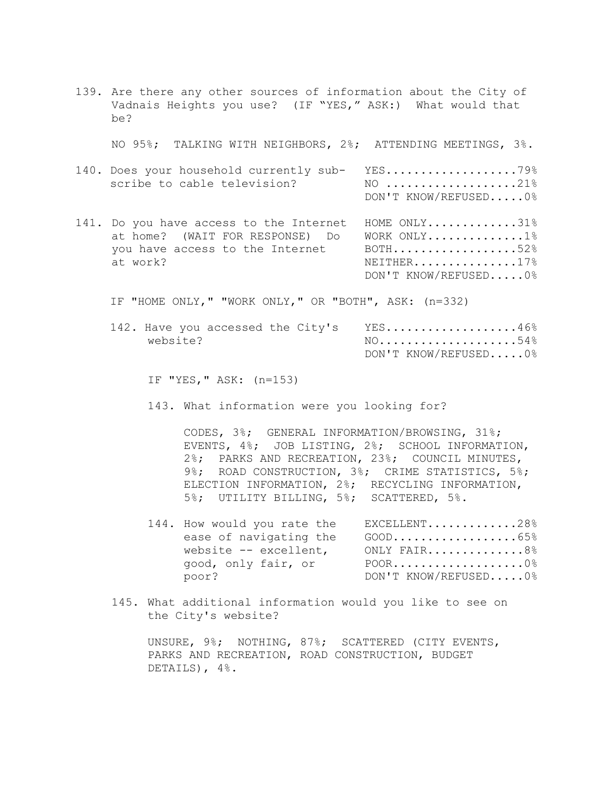139. Are there any other sources of information about the City of Vadnais Heights you use? (IF "YES," ASK:) What would that be? NO 95%; TALKING WITH NEIGHBORS, 2%; ATTENDING MEETINGS, 3%. 140. Does your household currently sub- YES....................79% scribe to cable television? NO ...................21% DON'T KNOW/REFUSED.....0% 141. Do you have access to the Internet HOME ONLY.............31% at home? (WAIT FOR RESPONSE) Do WORK ONLY..............1% you have access to the Internet BOTH..................52% at work? NEITHER...............17% DON'T KNOW/REFUSED.....0%

IF "HOME ONLY," "WORK ONLY," OR "BOTH", ASK: (n=332)

| 142. Have you accessed the City's YES46% |                      |  |
|------------------------------------------|----------------------|--|
| website?                                 | NO54%                |  |
|                                          | DON'T KNOW/REFUSED0% |  |

IF "YES," ASK: (n=153)

143. What information were you looking for?

CODES, 3%; GENERAL INFORMATION/BROWSING, 31%; EVENTS, 4%; JOB LISTING, 2%; SCHOOL INFORMATION, 2%; PARKS AND RECREATION, 23%; COUNCIL MINUTES, 9%; ROAD CONSTRUCTION, 3%; CRIME STATISTICS, 5%; ELECTION INFORMATION, 2%; RECYCLING INFORMATION, 5%; UTILITY BILLING, 5%; SCATTERED, 5%.

- 144. How would you rate the EXCELLENT............28% ease of navigating the GOOD......................65% website -- excellent, ONLY FAIR..............8% good, only fair, or POOR...................0% poor? DON'T KNOW/REFUSED.....0%
- 145. What additional information would you like to see on the City's website?

UNSURE, 9%; NOTHING, 87%; SCATTERED (CITY EVENTS, PARKS AND RECREATION, ROAD CONSTRUCTION, BUDGET DETAILS), 4%.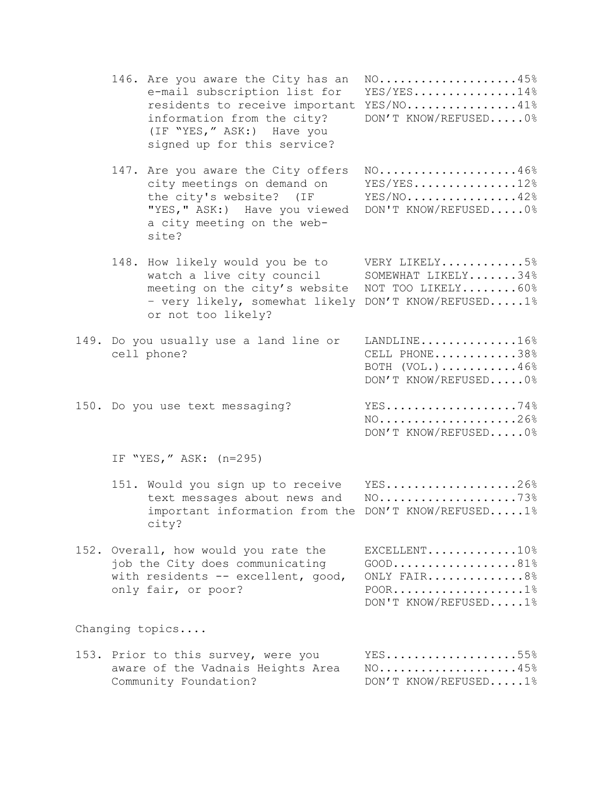|  | 146. Are you aware the City has an<br>e-mail subscription list for<br>residents to receive important YES/NO41%<br>information from the city?<br>(IF "YES," ASK:) Have you<br>signed up for this service? | $NO. 45%$<br>$YES/YES$ 14%<br>DON'T KNOW/REFUSED0%                        |
|--|----------------------------------------------------------------------------------------------------------------------------------------------------------------------------------------------------------|---------------------------------------------------------------------------|
|  | 147. Are you aware the City offers<br>city meetings on demand on<br>the city's website? (IF<br>"YES, " ASK:) Have you viewed<br>a city meeting on the web-<br>site?                                      | NO46%<br>$YES/YES$ 12%<br>$YES/NO$ 42%<br>DON'T KNOW/REFUSED0%            |
|  | 148. How likely would you be to<br>watch a live city council<br>meeting on the city's website<br>- very likely, somewhat likely DON'T KNOW/REFUSED1%<br>or not too likely?                               | VERY LIKELY5%<br>SOMEWHAT LIKELY34%<br>NOT TOO LIKELY60%                  |
|  | 149. Do you usually use a land line or<br>cell phone?                                                                                                                                                    | LANDLINE16%<br>CELL PHONE38%<br>BOTH $(VOL.)$ 46%<br>DON'T KNOW/REFUSED0% |
|  | 150. Do you use text messaging?                                                                                                                                                                          | YES74%<br>NO26%<br>DON'T KNOW/REFUSED0%                                   |
|  | IF "YES," ASK: (n=295)                                                                                                                                                                                   |                                                                           |
|  | 151. Would you sign up to receive<br>text messages about news and<br>important information from the<br>city?                                                                                             | YES26%<br>$NO. 73%$<br>DON'T KNOW/REFUSED1%                               |
|  | 152. Overall, how would you rate the<br>job the City does communicating<br>with residents -- excellent, good,<br>only fair, or poor?                                                                     | EXCELLENT10%<br>$GOOD$ 81%<br>ONLY FAIR8%<br>DON'T KNOW/REFUSED1%         |
|  | Changing topics                                                                                                                                                                                          |                                                                           |
|  | 153. Prior to this survey, were you<br>aware of the Vadnais Heights Area<br>Community Foundation?                                                                                                        | YES55%<br>$NO.$ 45%<br>DON'T KNOW/REFUSED1%                               |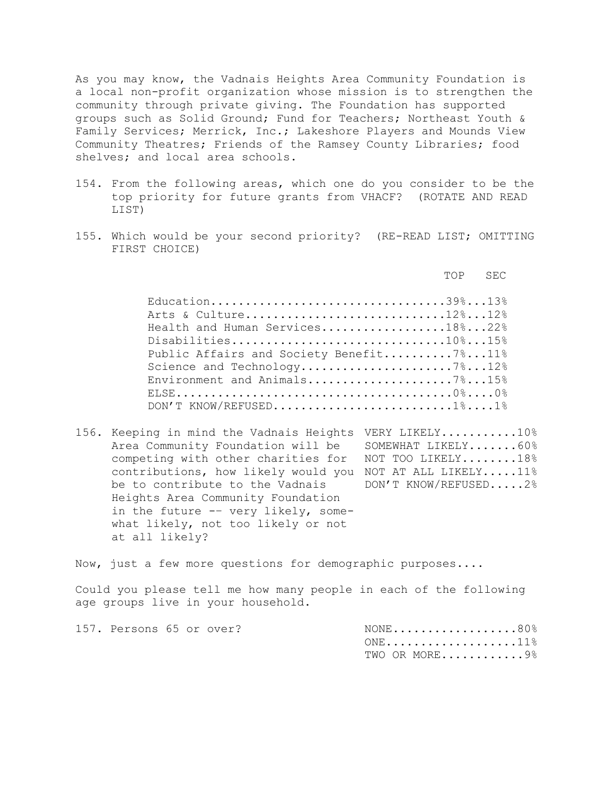As you may know, the Vadnais Heights Area Community Foundation is a local non-profit organization whose mission is to strengthen the community through private giving. The Foundation has supported groups such as Solid Ground; Fund for Teachers; Northeast Youth & Family Services; Merrick, Inc.; Lakeshore Players and Mounds View Community Theatres; Friends of the Ramsey County Libraries; food shelves; and local area schools.

- 154. From the following areas, which one do you consider to be the top priority for future grants from VHACF? (ROTATE AND READ LIST)
- 155. Which would be your second priority? (RE-READ LIST; OMITTING FIRST CHOICE)

TOP SEC

| Education39%13%                         |  |
|-----------------------------------------|--|
| Arts & Culture12%12%                    |  |
| Health and Human Services18%22%         |  |
| Disabilities10%15%                      |  |
| Public Affairs and Society Benefit7%11% |  |
| Science and Technology7%12%             |  |
| Environment and Animals7%15%            |  |
|                                         |  |
| DON'T KNOW/REFUSED1%1%                  |  |

156. Keeping in mind the Vadnais Heights VERY LIKELY...........10% Area Community Foundation will be SOMEWHAT LIKELY.......60% competing with other charities for NOT TOO LIKELY........18% contributions, how likely would you NOT AT ALL LIKELY.....11% be to contribute to the Vadnais DON'T KNOW/REFUSED.....2% Heights Area Community Foundation in the future -– very likely, somewhat likely, not too likely or not at all likely?

Now, just a few more questions for demographic purposes....

Could you please tell me how many people in each of the following age groups live in your household.

| 157. Persons 65 or over? |  | $\text{NONE} \dots \dots \dots \dots \dots \dots 80\%$ |  |
|--------------------------|--|--------------------------------------------------------|--|
|                          |  | ONE11%                                                 |  |
|                          |  | TWO OR MORE9%                                          |  |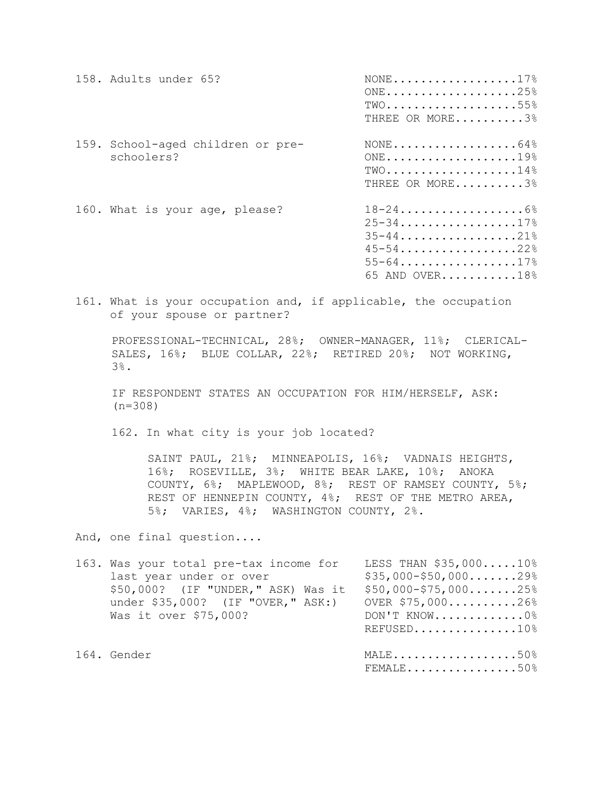| 158. Adults under 65?                           | $\text{NONE} \ldots \ldots \ldots \ldots \ldots 17\%$<br>$ONE \ldots \ldots \ldots \ldots \ldots \ldots \ldots 25\%$<br>$TWO$ 55%<br>THREE OR MORE3% |
|-------------------------------------------------|------------------------------------------------------------------------------------------------------------------------------------------------------|
| 159. School-aged children or pre-<br>schoolers? | $\text{NONE} \ldots \ldots \ldots \ldots \ldots \ldots 64\%$<br>$ONE \ldots \ldots \ldots \ldots \ldots \ldots 19$<br>$TWO$ 14%<br>THREE OR MORE3%   |
| 160. What is your age, please?                  | $18 - 24$ 6%<br>$25 - 34$ 17%<br>$35 - 44$ 21%<br>$45 - 54$ 22%<br>$55 - 64$ 17%<br>65 AND OVER18%                                                   |

161. What is your occupation and, if applicable, the occupation of your spouse or partner?

PROFESSIONAL-TECHNICAL, 28%; OWNER-MANAGER, 11%; CLERICAL-SALES, 16%; BLUE COLLAR, 22%; RETIRED 20%; NOT WORKING, 3%.

IF RESPONDENT STATES AN OCCUPATION FOR HIM/HERSELF, ASK: (n=308)

162. In what city is your job located?

SAINT PAUL, 21%; MINNEAPOLIS, 16%; VADNAIS HEIGHTS, 16%; ROSEVILLE, 3%; WHITE BEAR LAKE, 10%; ANOKA COUNTY, 6%; MAPLEWOOD, 8%; REST OF RAMSEY COUNTY, 5%; REST OF HENNEPIN COUNTY, 4%; REST OF THE METRO AREA, 5%; VARIES, 4%; WASHINGTON COUNTY, 2%.

And, one final question....

| 163. Was your total pre-tax income for<br>last year under or over<br>\$50,000? (IF "UNDER, " ASK) Was it<br>under \$35,000? (IF "OVER," ASK:)<br>Was it over \$75,000? | LESS THAN \$35,00010%<br>$$35,000 - $50,000 \ldots298$<br>$$50,000 - $75,000 \ldots$ 25%<br>OVER \$75,00026%<br>DON'T KNOW0%<br>REFUSED10% |
|------------------------------------------------------------------------------------------------------------------------------------------------------------------------|--------------------------------------------------------------------------------------------------------------------------------------------|
| 164. Gender                                                                                                                                                            | MALE50%<br>$FEMALE$ 50%                                                                                                                    |